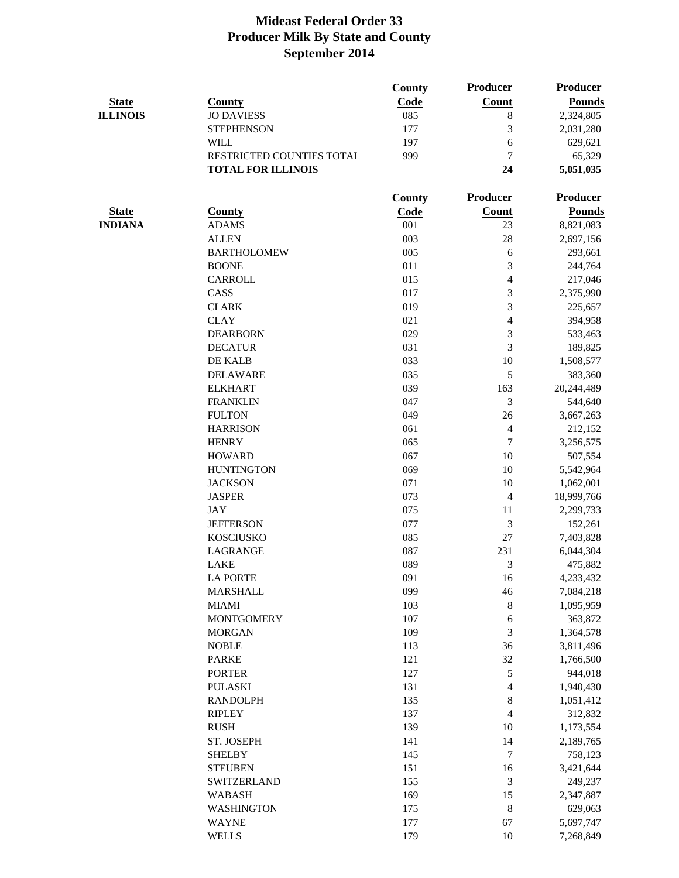|                 |                           | <b>County</b> | <b>Producer</b>          | Producer        |
|-----------------|---------------------------|---------------|--------------------------|-----------------|
| <b>State</b>    | <b>County</b>             | Code          | <b>Count</b>             | <b>Pounds</b>   |
| <b>ILLINOIS</b> | <b>JO DAVIESS</b>         | 085           | $8\,$                    | 2,324,805       |
|                 | <b>STEPHENSON</b>         | 177           | 3                        | 2,031,280       |
|                 | <b>WILL</b>               | 197           | 6                        | 629,621         |
|                 | RESTRICTED COUNTIES TOTAL | 999           | $\overline{7}$           | 65,329          |
|                 | <b>TOTAL FOR ILLINOIS</b> |               | 24                       | 5,051,035       |
|                 |                           | <b>County</b> | <b>Producer</b>          | <b>Producer</b> |
| <b>State</b>    | <b>County</b>             | Code          | <b>Count</b>             | <b>Pounds</b>   |
| <b>INDIANA</b>  | <b>ADAMS</b>              | 001           | 23                       | 8,821,083       |
|                 | <b>ALLEN</b>              | 003           | 28                       | 2,697,156       |
|                 | <b>BARTHOLOMEW</b>        | 005           | 6                        | 293,661         |
|                 | <b>BOONE</b>              | 011           | 3                        | 244,764         |
|                 | <b>CARROLL</b>            | 015           | $\overline{4}$           | 217,046         |
|                 | CASS                      | 017           | 3                        | 2,375,990       |
|                 | <b>CLARK</b>              | 019           | 3                        | 225,657         |
|                 | <b>CLAY</b>               | 021           | 4                        | 394,958         |
|                 | <b>DEARBORN</b>           | 029           | 3                        | 533,463         |
|                 | <b>DECATUR</b>            | 031           | 3                        | 189,825         |
|                 | DE KALB                   | 033           | 10                       | 1,508,577       |
|                 | <b>DELAWARE</b>           | 035           | 5                        | 383,360         |
|                 | <b>ELKHART</b>            | 039           | 163                      | 20,244,489      |
|                 | <b>FRANKLIN</b>           | 047           | 3                        | 544,640         |
|                 | <b>FULTON</b>             | 049           | 26                       | 3,667,263       |
|                 | <b>HARRISON</b>           | 061           | 4                        | 212,152         |
|                 | <b>HENRY</b>              | 065           | $\boldsymbol{7}$         | 3,256,575       |
|                 | <b>HOWARD</b>             | 067           | 10                       | 507,554         |
|                 | <b>HUNTINGTON</b>         | 069           | 10                       | 5,542,964       |
|                 | <b>JACKSON</b>            | 071           | 10                       | 1,062,001       |
|                 | <b>JASPER</b>             | 073           | 4                        | 18,999,766      |
|                 | <b>JAY</b>                | 075           | 11                       | 2,299,733       |
|                 | <b>JEFFERSON</b>          | 077           | 3                        | 152,261         |
|                 | <b>KOSCIUSKO</b>          | 085           | 27                       | 7,403,828       |
|                 | <b>LAGRANGE</b>           | 087           | 231                      | 6,044,304       |
|                 | <b>LAKE</b>               | 089           | 3                        | 475,882         |
|                 | <b>LA PORTE</b>           | 091           | 16                       | 4,233,432       |
|                 | <b>MARSHALL</b>           | 099           | 46                       | 7,084,218       |
|                 | <b>MIAMI</b>              | 103           | 8                        | 1,095,959       |
|                 | <b>MONTGOMERY</b>         | 107           | 6                        | 363,872         |
|                 | <b>MORGAN</b>             | 109           | 3                        | 1,364,578       |
|                 | <b>NOBLE</b>              | 113           | 36                       | 3,811,496       |
|                 | <b>PARKE</b>              | 121           | 32                       | 1,766,500       |
|                 | <b>PORTER</b>             | 127           | 5                        | 944,018         |
|                 | <b>PULASKI</b>            | 131           | 4                        | 1,940,430       |
|                 | <b>RANDOLPH</b>           | 135           | 8                        | 1,051,412       |
|                 | <b>RIPLEY</b>             | 137           | $\overline{\mathcal{A}}$ | 312,832         |
|                 | <b>RUSH</b>               | 139           | 10                       | 1,173,554       |
|                 | ST. JOSEPH                | 141           | 14                       | 2,189,765       |
|                 | <b>SHELBY</b>             | 145           | $\overline{7}$           | 758,123         |
|                 | <b>STEUBEN</b>            | 151           | 16                       | 3,421,644       |
|                 | <b>SWITZERLAND</b>        | 155           | 3                        | 249,237         |
|                 | <b>WABASH</b>             | 169           | 15                       | 2,347,887       |
|                 | <b>WASHINGTON</b>         | 175           | $8\phantom{1}$           | 629,063         |
|                 | <b>WAYNE</b>              | 177           | 67                       | 5,697,747       |
|                 | <b>WELLS</b>              | 179           | 10                       | 7,268,849       |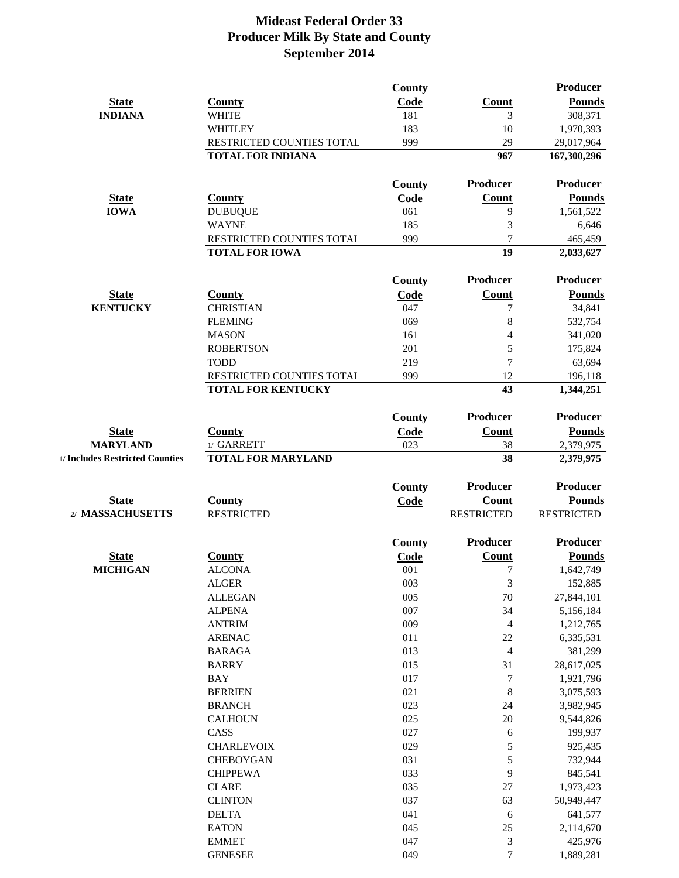|                                 |                                                        | County        |                   | <b>Producer</b>   |
|---------------------------------|--------------------------------------------------------|---------------|-------------------|-------------------|
| <b>State</b>                    | <b>County</b>                                          | Code          | <b>Count</b>      | <b>Pounds</b>     |
| <b>INDIANA</b>                  | <b>WHITE</b>                                           | 181           | 3                 | 308,371           |
|                                 | <b>WHITLEY</b>                                         | 183           | 10                | 1,970,393         |
|                                 | RESTRICTED COUNTIES TOTAL                              | 999           | 29                | 29,017,964        |
|                                 | <b>TOTAL FOR INDIANA</b>                               |               | 967               | 167,300,296       |
|                                 |                                                        | <b>County</b> | Producer          | <b>Producer</b>   |
| <b>State</b>                    | <b>County</b>                                          | Code          | <b>Count</b>      | <b>Pounds</b>     |
| <b>IOWA</b>                     | <b>DUBUQUE</b>                                         | 061           | 9                 | 1,561,522         |
|                                 | <b>WAYNE</b>                                           | 185           | 3                 | 6,646             |
|                                 | RESTRICTED COUNTIES TOTAL                              | 999           | $\overline{7}$    | 465,459           |
|                                 | <b>TOTAL FOR IOWA</b>                                  |               | 19                | 2,033,627         |
|                                 |                                                        | <b>County</b> | Producer          | <b>Producer</b>   |
| <b>State</b>                    | <b>County</b>                                          | <b>Code</b>   | <b>Count</b>      | <b>Pounds</b>     |
| <b>KENTUCKY</b>                 | <b>CHRISTIAN</b>                                       | 047           | 7                 | 34,841            |
|                                 | <b>FLEMING</b>                                         | 069           | 8                 | 532,754           |
|                                 | <b>MASON</b>                                           | 161           | $\overline{4}$    | 341,020           |
|                                 | <b>ROBERTSON</b>                                       | 201           | 5                 | 175,824           |
|                                 |                                                        |               | 7                 |                   |
|                                 | <b>TODD</b>                                            | 219           |                   | 63,694            |
|                                 | RESTRICTED COUNTIES TOTAL<br><b>TOTAL FOR KENTUCKY</b> | 999           | 12<br>43          | 196,118           |
|                                 |                                                        |               |                   | 1,344,251         |
|                                 |                                                        | <b>County</b> | Producer          | Producer          |
| <b>State</b>                    | <b>County</b>                                          | Code          | Count             | <b>Pounds</b>     |
| <b>MARYLAND</b>                 | 1/ GARRETT                                             | 023           | 38                | 2,379,975         |
| 1/ Includes Restricted Counties | <b>TOTAL FOR MARYLAND</b>                              |               | 38                | 2,379,975         |
|                                 |                                                        | <b>County</b> | Producer          | <b>Producer</b>   |
| <b>State</b>                    | <b>County</b>                                          | Code          | <b>Count</b>      | <b>Pounds</b>     |
| 2/ MASSACHUSETTS                | <b>RESTRICTED</b>                                      |               | <b>RESTRICTED</b> | <b>RESTRICTED</b> |
|                                 |                                                        | <b>County</b> | <b>Producer</b>   | Producer          |
| <b>State</b>                    | <b>County</b>                                          | Code          | <b>Count</b>      | <b>Pounds</b>     |
| <b>MICHIGAN</b>                 | <b>ALCONA</b>                                          | 001           | $\boldsymbol{7}$  | 1,642,749         |
|                                 | <b>ALGER</b>                                           | 003           | 3                 | 152,885           |
|                                 | <b>ALLEGAN</b>                                         | 005           | $70\,$            | 27,844,101        |
|                                 | <b>ALPENA</b>                                          | 007           | 34                | 5,156,184         |
|                                 | <b>ANTRIM</b>                                          | 009           | $\overline{4}$    | 1,212,765         |
|                                 | <b>ARENAC</b>                                          | 011           | 22                | 6,335,531         |
|                                 | <b>BARAGA</b>                                          | 013           | $\overline{4}$    | 381,299           |
|                                 | <b>BARRY</b>                                           | 015           | 31                | 28,617,025        |
|                                 | <b>BAY</b>                                             | 017           | $\boldsymbol{7}$  | 1,921,796         |
|                                 | <b>BERRIEN</b>                                         | 021           | 8                 | 3,075,593         |
|                                 | <b>BRANCH</b>                                          | 023           | 24                | 3,982,945         |
|                                 | <b>CALHOUN</b>                                         | 025           | 20                | 9,544,826         |
|                                 | CASS                                                   | 027           | 6                 | 199,937           |
|                                 | <b>CHARLEVOIX</b>                                      | 029           | 5                 | 925,435           |
|                                 | <b>CHEBOYGAN</b>                                       | 031           | 5                 | 732,944           |
|                                 | <b>CHIPPEWA</b>                                        | 033           | 9                 | 845,541           |
|                                 | <b>CLARE</b>                                           | 035           | 27                | 1,973,423         |
|                                 | <b>CLINTON</b>                                         | 037           | 63                | 50,949,447        |
|                                 | <b>DELTA</b>                                           | 041           | 6                 | 641,577           |
|                                 | <b>EATON</b>                                           | 045           | 25                | 2,114,670         |
|                                 | <b>EMMET</b>                                           | 047           | 3                 | 425,976           |
|                                 | <b>GENESEE</b>                                         | 049           | $\overline{7}$    | 1,889,281         |
|                                 |                                                        |               |                   |                   |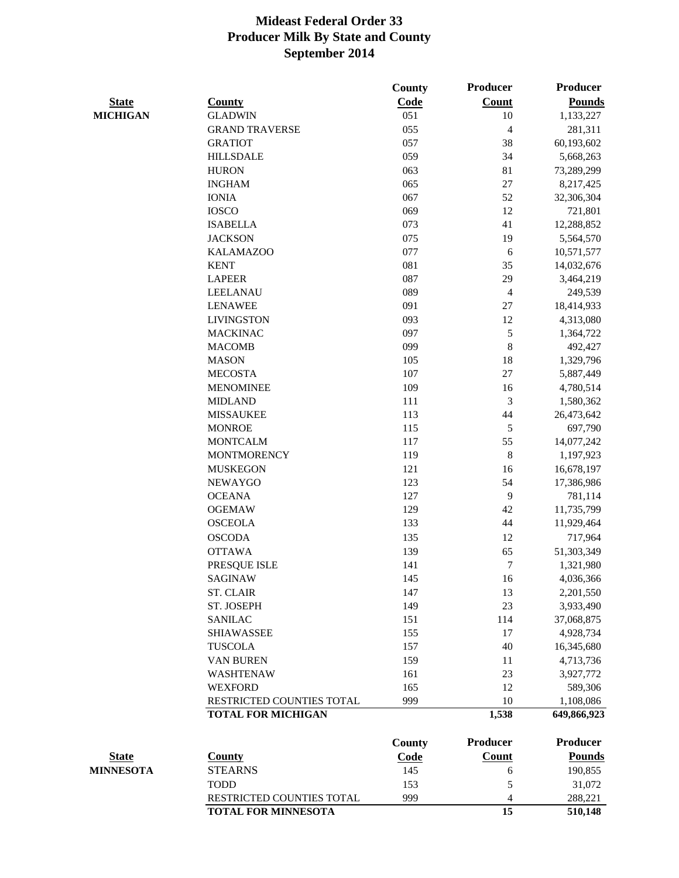|                  |                            | <b>County</b> | <b>Producer</b> | <b>Producer</b> |
|------------------|----------------------------|---------------|-----------------|-----------------|
| <b>State</b>     | <b>County</b>              | Code          | <b>Count</b>    | <b>Pounds</b>   |
| <b>MICHIGAN</b>  | <b>GLADWIN</b>             | 051           | 10              | 1,133,227       |
|                  | <b>GRAND TRAVERSE</b>      | 055           | 4               | 281,311         |
|                  | <b>GRATIOT</b>             | 057           | 38              | 60,193,602      |
|                  | <b>HILLSDALE</b>           | 059           | 34              | 5,668,263       |
|                  | <b>HURON</b>               | 063           | 81              | 73,289,299      |
|                  | <b>INGHAM</b>              | 065           | 27              | 8,217,425       |
|                  | <b>IONIA</b>               | 067           | 52              | 32,306,304      |
|                  | <b>IOSCO</b>               | 069           | 12              | 721,801         |
|                  | <b>ISABELLA</b>            | 073           | 41              | 12,288,852      |
|                  | <b>JACKSON</b>             | 075           | 19              | 5,564,570       |
|                  | <b>KALAMAZOO</b>           | 077           | 6               | 10,571,577      |
|                  | <b>KENT</b>                | 081           | 35              | 14,032,676      |
|                  | <b>LAPEER</b>              | 087           | 29              | 3,464,219       |
|                  | <b>LEELANAU</b>            | 089           | $\overline{4}$  | 249,539         |
|                  | <b>LENAWEE</b>             | 091           | 27              | 18,414,933      |
|                  | <b>LIVINGSTON</b>          | 093           | 12              | 4,313,080       |
|                  | <b>MACKINAC</b>            | 097           | 5               | 1,364,722       |
|                  | <b>MACOMB</b>              | 099           | 8               | 492,427         |
|                  | <b>MASON</b>               | 105           | 18              | 1,329,796       |
|                  | <b>MECOSTA</b>             | 107           | 27              | 5,887,449       |
|                  | <b>MENOMINEE</b>           | 109           | 16              | 4,780,514       |
|                  | <b>MIDLAND</b>             | 111           | 3               | 1,580,362       |
|                  | <b>MISSAUKEE</b>           | 113           | 44              | 26,473,642      |
|                  | <b>MONROE</b>              | 115           | 5               | 697,790         |
|                  | <b>MONTCALM</b>            | 117           | 55              | 14,077,242      |
|                  | <b>MONTMORENCY</b>         | 119           | 8               | 1,197,923       |
|                  | <b>MUSKEGON</b>            | 121           | 16              | 16,678,197      |
|                  | <b>NEWAYGO</b>             | 123           | 54              | 17,386,986      |
|                  | <b>OCEANA</b>              | 127           | 9               | 781,114         |
|                  | <b>OGEMAW</b>              | 129           | 42              | 11,735,799      |
|                  | <b>OSCEOLA</b>             | 133           | 44              | 11,929,464      |
|                  | <b>OSCODA</b>              | 135           | 12              | 717,964         |
|                  | <b>OTTAWA</b>              | 139           | 65              | 51,303,349      |
|                  | PRESQUE ISLE               | 141           | $\tau$          | 1,321,980       |
|                  | <b>SAGINAW</b>             | 145           | 16              | 4,036,366       |
|                  | <b>ST. CLAIR</b>           | 147           | 13              | 2,201,550       |
|                  | ST. JOSEPH                 | 149           | 23              | 3,933,490       |
|                  | <b>SANILAC</b>             | 151           | 114             | 37,068,875      |
|                  | <b>SHIAWASSEE</b>          | 155           | 17              | 4,928,734       |
|                  | <b>TUSCOLA</b>             | 157           | 40              | 16,345,680      |
|                  | <b>VAN BUREN</b>           | 159           | 11              | 4,713,736       |
|                  | <b>WASHTENAW</b>           | 161           | 23              | 3,927,772       |
|                  | <b>WEXFORD</b>             | 165           | 12              | 589,306         |
|                  | RESTRICTED COUNTIES TOTAL  | 999           | 10              | 1,108,086       |
|                  | <b>TOTAL FOR MICHIGAN</b>  |               | 1,538           | 649,866,923     |
|                  |                            | <b>County</b> | Producer        | <b>Producer</b> |
| <b>State</b>     | <b>County</b>              | <b>Code</b>   | Count           | <b>Pounds</b>   |
| <b>MINNESOTA</b> | <b>STEARNS</b>             | 145           | 6               | 190,855         |
|                  | <b>TODD</b>                | 153           | 5               | 31,072          |
|                  | RESTRICTED COUNTIES TOTAL  | 999           | 4               | 288,221         |
|                  | <b>TOTAL FOR MINNESOTA</b> |               | 15              | 510,148         |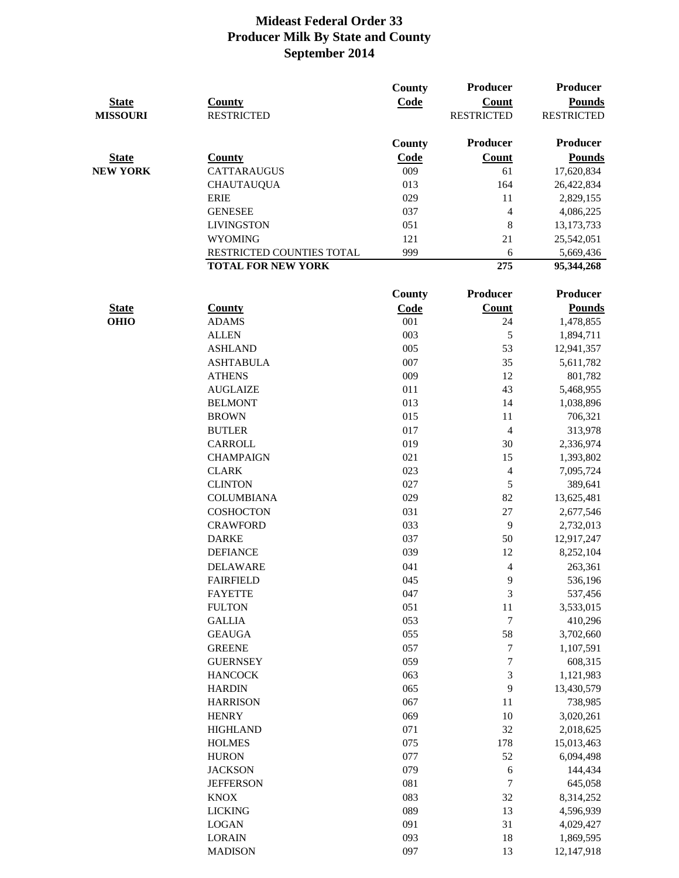| <b>State</b><br><b>MISSOURI</b> | <b>County</b><br><b>RESTRICTED</b> | <b>County</b><br>Code | Producer<br><b>Count</b><br><b>RESTRICTED</b> | Producer<br><b>Pounds</b><br><b>RESTRICTED</b> |
|---------------------------------|------------------------------------|-----------------------|-----------------------------------------------|------------------------------------------------|
|                                 |                                    | <b>County</b>         | <b>Producer</b>                               | Producer                                       |
| <b>State</b>                    | <b>County</b>                      | Code                  | <b>Count</b>                                  | <b>Pounds</b>                                  |
| <b>NEW YORK</b>                 | <b>CATTARAUGUS</b>                 | 009                   | 61                                            | 17,620,834                                     |
|                                 | <b>CHAUTAUQUA</b>                  | 013                   | 164                                           | 26,422,834                                     |
|                                 | <b>ERIE</b>                        | 029                   | 11                                            | 2,829,155                                      |
|                                 | <b>GENESEE</b>                     | 037                   | $\overline{\mathcal{A}}$                      | 4,086,225                                      |
|                                 | <b>LIVINGSTON</b>                  | 051                   | 8                                             | 13, 173, 733                                   |
|                                 | <b>WYOMING</b>                     | 121                   | 21                                            | 25,542,051                                     |
|                                 | RESTRICTED COUNTIES TOTAL          | 999                   | 6                                             | 5,669,436                                      |
|                                 | <b>TOTAL FOR NEW YORK</b>          |                       | 275                                           | 95,344,268                                     |
|                                 |                                    | <b>County</b>         | <b>Producer</b>                               | Producer                                       |
| <b>State</b>                    | <b>County</b>                      | Code                  | <b>Count</b>                                  | <b>Pounds</b>                                  |
| <b>OHIO</b>                     | <b>ADAMS</b>                       | 001                   | 24                                            | 1,478,855                                      |
|                                 | <b>ALLEN</b>                       | 003                   | 5                                             | 1,894,711                                      |
|                                 | <b>ASHLAND</b>                     | 005                   | 53                                            | 12,941,357                                     |
|                                 | <b>ASHTABULA</b>                   | 007                   | 35                                            | 5,611,782                                      |
|                                 | <b>ATHENS</b>                      | 009                   | 12                                            | 801,782                                        |
|                                 | <b>AUGLAIZE</b>                    | 011                   | 43                                            | 5,468,955                                      |
|                                 | <b>BELMONT</b>                     | 013                   | 14                                            | 1,038,896                                      |
|                                 | <b>BROWN</b>                       | 015                   | 11                                            | 706,321                                        |
|                                 | <b>BUTLER</b>                      | 017                   | $\overline{4}$                                | 313,978                                        |
|                                 | <b>CARROLL</b>                     | 019                   | 30                                            | 2,336,974                                      |
|                                 | <b>CHAMPAIGN</b>                   | 021                   | 15                                            | 1,393,802                                      |
|                                 | <b>CLARK</b>                       | 023                   | $\overline{\mathcal{A}}$                      | 7,095,724                                      |
|                                 | <b>CLINTON</b>                     | 027                   | 5                                             | 389,641                                        |
|                                 | <b>COLUMBIANA</b>                  | 029                   | 82                                            | 13,625,481                                     |
|                                 | <b>COSHOCTON</b>                   | 031                   | 27                                            | 2,677,546                                      |
|                                 | <b>CRAWFORD</b>                    | 033                   | 9                                             | 2,732,013                                      |
|                                 | <b>DARKE</b>                       | 037                   | 50                                            | 12,917,247                                     |
|                                 | <b>DEFIANCE</b>                    | 039                   | 12                                            | 8,252,104                                      |
|                                 |                                    | 041                   |                                               |                                                |
|                                 | <b>DELAWARE</b>                    | 045                   | 4                                             | 263,361                                        |
|                                 | <b>FAIRFIELD</b><br><b>FAYETTE</b> | 047                   | 9<br>3                                        | 536,196                                        |
|                                 |                                    | 051                   |                                               | 537,456                                        |
|                                 | <b>FULTON</b>                      | 053                   | 11<br>$\boldsymbol{7}$                        | 3,533,015                                      |
|                                 | <b>GALLIA</b>                      |                       |                                               | 410,296                                        |
|                                 | <b>GEAUGA</b>                      | 055                   | 58                                            | 3,702,660                                      |
|                                 | <b>GREENE</b>                      | 057<br>059            | $\boldsymbol{7}$                              | 1,107,591                                      |
|                                 | <b>GUERNSEY</b>                    |                       | $\tau$                                        | 608,315                                        |
|                                 | <b>HANCOCK</b>                     | 063                   | $\ensuremath{\mathfrak{Z}}$                   | 1,121,983                                      |
|                                 | <b>HARDIN</b>                      | 065                   | 9                                             | 13,430,579                                     |
|                                 | <b>HARRISON</b>                    | 067                   | 11                                            | 738,985                                        |
|                                 | <b>HENRY</b>                       | 069                   | 10                                            | 3,020,261                                      |
|                                 | <b>HIGHLAND</b>                    | 071                   | 32                                            | 2,018,625                                      |
|                                 | <b>HOLMES</b>                      | 075                   | 178                                           | 15,013,463                                     |
|                                 | <b>HURON</b>                       | 077                   | 52                                            | 6,094,498                                      |
|                                 | <b>JACKSON</b>                     | 079                   | 6                                             | 144,434                                        |
|                                 | <b>JEFFERSON</b>                   | 081                   | $\boldsymbol{7}$                              | 645,058                                        |
|                                 | <b>KNOX</b>                        | 083                   | 32                                            | 8,314,252                                      |
|                                 | <b>LICKING</b>                     | 089                   | 13                                            | 4,596,939                                      |
|                                 | <b>LOGAN</b>                       | 091                   | 31                                            | 4,029,427                                      |
|                                 | <b>LORAIN</b>                      | 093                   | 18                                            | 1,869,595                                      |
|                                 | <b>MADISON</b>                     | 097                   | 13                                            | 12,147,918                                     |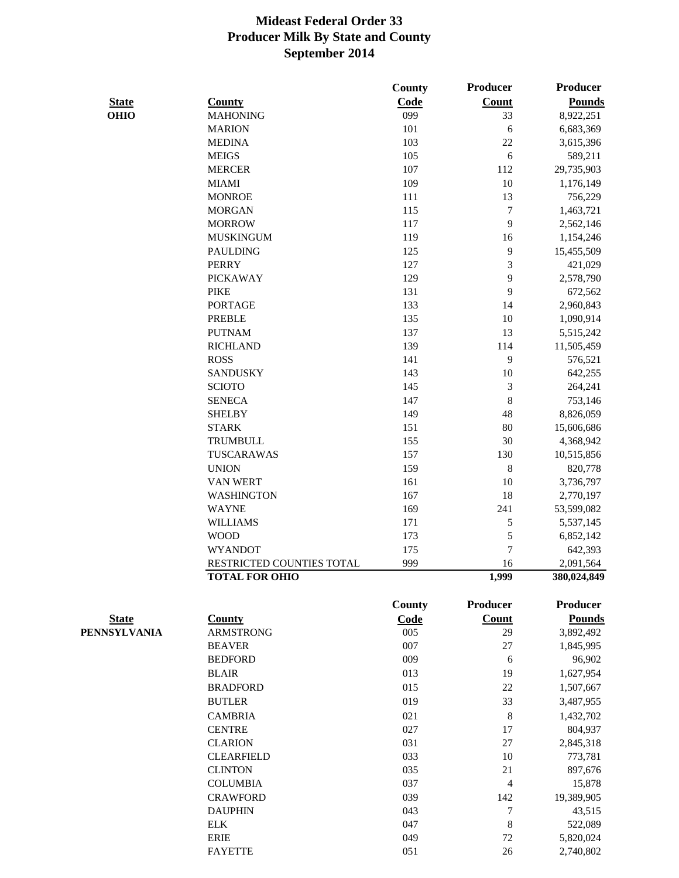|              |                                                    | <b>County</b> | Producer        | Producer                 |
|--------------|----------------------------------------------------|---------------|-----------------|--------------------------|
| <b>State</b> | <b>County</b>                                      | Code          | <b>Count</b>    | <b>Pounds</b>            |
| <b>OHIO</b>  | <b>MAHONING</b>                                    | 099           | 33              | 8,922,251                |
|              | <b>MARION</b>                                      | 101           | 6               | 6,683,369                |
|              | <b>MEDINA</b>                                      | 103           | 22              | 3,615,396                |
|              | <b>MEIGS</b>                                       | 105           | 6               | 589,211                  |
|              | <b>MERCER</b>                                      | 107           | 112             | 29,735,903               |
|              | <b>MIAMI</b>                                       | 109           | 10              | 1,176,149                |
|              | <b>MONROE</b>                                      | 111           | 13              | 756,229                  |
|              | <b>MORGAN</b>                                      | 115           | 7               | 1,463,721                |
|              | <b>MORROW</b>                                      | 117           | 9               | 2,562,146                |
|              | <b>MUSKINGUM</b>                                   | 119           | 16              | 1,154,246                |
|              | <b>PAULDING</b>                                    | 125           | 9               | 15,455,509               |
|              | <b>PERRY</b>                                       | 127           | 3               | 421,029                  |
|              | <b>PICKAWAY</b>                                    | 129           | 9               | 2,578,790                |
|              | <b>PIKE</b>                                        | 131           | 9               | 672,562                  |
|              | <b>PORTAGE</b>                                     | 133           | 14              | 2,960,843                |
|              | <b>PREBLE</b>                                      | 135           | 10              | 1,090,914                |
|              | <b>PUTNAM</b>                                      | 137           | 13              | 5,515,242                |
|              | <b>RICHLAND</b>                                    | 139           | 114             | 11,505,459               |
|              | <b>ROSS</b>                                        | 141           | 9               | 576,521                  |
|              | <b>SANDUSKY</b>                                    | 143           | 10              | 642,255                  |
|              | <b>SCIOTO</b>                                      | 145           | 3               | 264,241                  |
|              | <b>SENECA</b>                                      | 147           | 8               | 753,146                  |
|              | <b>SHELBY</b>                                      | 149           | 48              | 8,826,059                |
|              | <b>STARK</b>                                       | 151           | 80              | 15,606,686               |
|              | <b>TRUMBULL</b>                                    | 155           | 30              | 4,368,942                |
|              | TUSCARAWAS                                         | 157           | 130             | 10,515,856               |
|              | <b>UNION</b>                                       | 159           | 8               | 820,778                  |
|              | <b>VAN WERT</b>                                    | 161           | 10              | 3,736,797                |
|              | <b>WASHINGTON</b>                                  | 167           | 18              | 2,770,197                |
|              | <b>WAYNE</b>                                       | 169           | 241             |                          |
|              | <b>WILLIAMS</b>                                    | 171           |                 | 53,599,082               |
|              | <b>WOOD</b>                                        | 173           | 5<br>5          | 5,537,145                |
|              |                                                    |               | $\overline{7}$  | 6,852,142                |
|              | <b>WYANDOT</b>                                     | 175<br>999    | 16              | 642,393                  |
|              | RESTRICTED COUNTIES TOTAL<br><b>TOTAL FOR OHIO</b> |               | 1,999           | 2,091,564<br>380,024,849 |
|              |                                                    |               |                 |                          |
|              |                                                    | County        | <b>Producer</b> | Producer                 |
| <b>State</b> | <b>County</b>                                      | Code          | <b>Count</b>    | <b>Pounds</b>            |
| PENNSYLVANIA | <b>ARMSTRONG</b>                                   | 005           | 29              | 3,892,492                |
|              | <b>BEAVER</b>                                      | 007           | 27              | 1,845,995                |
|              | <b>BEDFORD</b>                                     | 009           | 6               | 96,902                   |
|              | <b>BLAIR</b>                                       | 013           | 19              | 1,627,954                |
|              | <b>BRADFORD</b>                                    | 015           | 22              | 1,507,667                |
|              | <b>BUTLER</b>                                      | 019           | 33              | 3,487,955                |
|              | <b>CAMBRIA</b>                                     | 021           | 8               | 1,432,702                |
|              | <b>CENTRE</b>                                      | 027           | 17              | 804,937                  |
|              | <b>CLARION</b>                                     | 031           | 27              | 2,845,318                |
|              | <b>CLEARFIELD</b>                                  | 033           | 10              | 773,781                  |
|              | <b>CLINTON</b>                                     | 035           | 21              | 897,676                  |
|              | <b>COLUMBIA</b>                                    | 037           | 4               | 15,878                   |
|              | <b>CRAWFORD</b>                                    | 039           | 142             | 19,389,905               |
|              | <b>DAUPHIN</b>                                     | 043           | 7               | 43,515                   |
|              | <b>ELK</b>                                         | 047           | 8               | 522,089                  |
|              | <b>ERIE</b>                                        | 049           | 72              | 5,820,024                |
|              | <b>FAYETTE</b>                                     | 051           | 26              | 2,740,802                |
|              |                                                    |               |                 |                          |